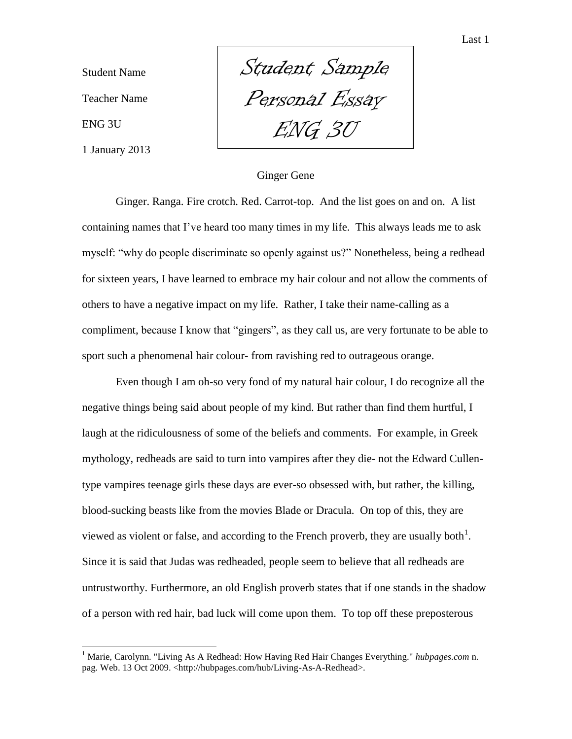Student Name Teacher Name ENG 3U 1 January 2013

 $\overline{a}$ 

Student Sample Personal Essay ENG 3U

## Ginger Gene

Ginger. Ranga. Fire crotch. Red. Carrot-top. And the list goes on and on. A list containing names that I've heard too many times in my life. This always leads me to ask myself: "why do people discriminate so openly against us?" Nonetheless, being a redhead for sixteen years, I have learned to embrace my hair colour and not allow the comments of others to have a negative impact on my life. Rather, I take their name-calling as a compliment, because I know that "gingers", as they call us, are very fortunate to be able to sport such a phenomenal hair colour- from ravishing red to outrageous orange.

Even though I am oh-so very fond of my natural hair colour, I do recognize all the negative things being said about people of my kind. But rather than find them hurtful, I laugh at the ridiculousness of some of the beliefs and comments. For example, in Greek mythology, redheads are said to turn into vampires after they die- not the Edward Cullentype vampires teenage girls these days are ever-so obsessed with, but rather, the killing, blood-sucking beasts like from the movies Blade or Dracula. On top of this, they are viewed as violent or false, and according to the French proverb, they are usually both<sup>1</sup>. Since it is said that Judas was redheaded, people seem to believe that all redheads are untrustworthy. Furthermore, an old English proverb states that if one stands in the shadow of a person with red hair, bad luck will come upon them. To top off these preposterous

<sup>1</sup> Marie, Carolynn. "Living As A Redhead: How Having Red Hair Changes Everything." *hubpages.com* n. pag. Web. 13 Oct 2009. <http://hubpages.com/hub/Living-As-A-Redhead>.